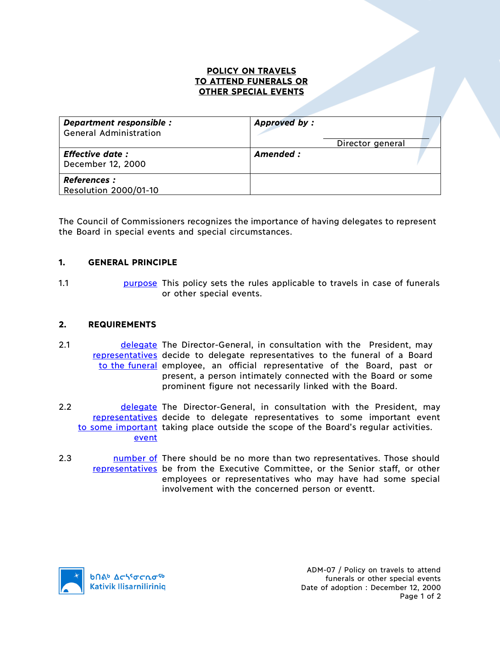## **POLICY ON TRAVELS TO ATTEND FUNERALS OR OTHER SPECIAL EVENTS**

| Department responsible :<br><b>General Administration</b> | Approved by:<br>Director general |  |
|-----------------------------------------------------------|----------------------------------|--|
| <b>Effective date:</b><br>December 12, 2000               | Amended :                        |  |
| <b>References :</b><br><b>Resolution 2000/01-10</b>       |                                  |  |

The Council of Commissioners recognizes the importance of having delegates to represent the Board in special events and special circumstances.

## **1. GENERAL PRINCIPLE**

1.1 **purpose** This policy sets the rules applicable to travels in case of funerals or other special events.

## **2. REQUIREMENTS**

- 2.1 **delegate The Director-General, in consultation with the President, may** representatives decide to delegate representatives to the funeral of a Board to the funeral employee, an official representative of the Board, past or present, a person intimately connected with the Board or some prominent figure not necessarily linked with the Board.
- 2.2 **delegate** The Director-General, in consultation with the President, may representatives decide to delegate representatives to some important event to some important taking place outside the scope of the Board's regular activities. event
- 2.3 https://www.markin.com/more than two representatives. Those should representatives be from the Executive Committee, or the Senior staff, or other employees or representatives who may have had some special involvement with the concerned person or eventt.